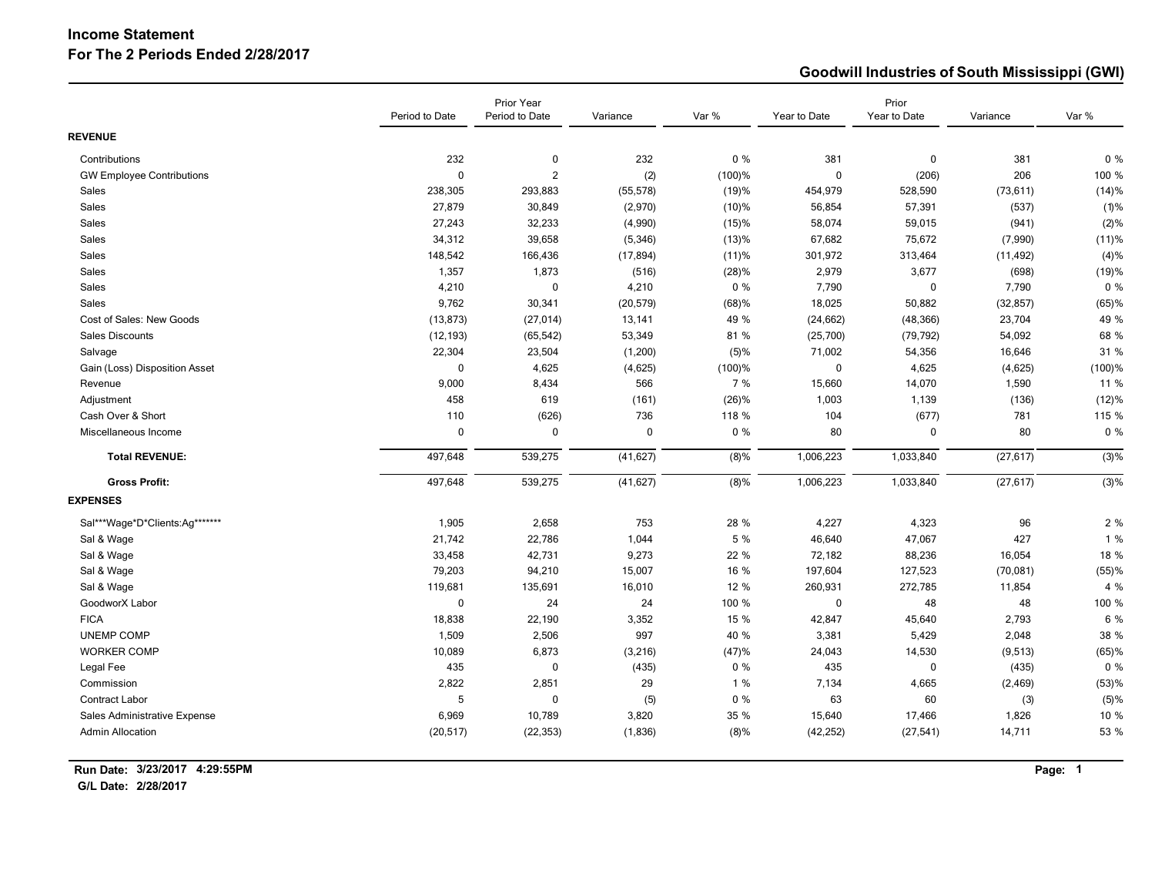## **Income Statement For The 2 Periods Ended 2/28/2017**

## **Goodwill Industries of South Mississippi (GWI)**

|                                  |                | Prior Year     |             |          |              | Prior        |           |           |
|----------------------------------|----------------|----------------|-------------|----------|--------------|--------------|-----------|-----------|
|                                  | Period to Date | Period to Date | Variance    | Var %    | Year to Date | Year to Date | Variance  | Var %     |
| <b>REVENUE</b>                   |                |                |             |          |              |              |           |           |
| Contributions                    | 232            | 0              | 232         | $0\%$    | 381          | 0            | 381       | 0%        |
| <b>GW Employee Contributions</b> | $\mathbf 0$    | $\overline{2}$ | (2)         | (100)%   | $\pmb{0}$    | (206)        | 206       | 100 %     |
| Sales                            | 238,305        | 293,883        | (55, 578)   | (19)%    | 454,979      | 528,590      | (73, 611) | (14)%     |
| Sales                            | 27,879         | 30,849         | (2,970)     | (10)%    | 56,854       | 57,391       | (537)     | (1)%      |
| Sales                            | 27,243         | 32,233         | (4,990)     | (15)%    | 58,074       | 59,015       | (941)     | (2)%      |
| Sales                            | 34,312         | 39,658         | (5, 346)    | (13)%    | 67,682       | 75,672       | (7,990)   | (11)%     |
| Sales                            | 148,542        | 166,436        | (17, 894)   | (11)%    | 301,972      | 313,464      | (11, 492) | (4)%      |
| Sales                            | 1,357          | 1,873          | (516)       | (28)%    | 2,979        | 3,677        | (698)     | (19)%     |
| Sales                            | 4,210          | $\mathbf{0}$   | 4,210       | $0\%$    | 7,790        | $\mathbf 0$  | 7,790     | $0\%$     |
| <b>Sales</b>                     | 9,762          | 30,341         | (20, 579)   | (68)%    | 18,025       | 50,882       | (32, 857) | (65)%     |
| Cost of Sales: New Goods         | (13, 873)      | (27, 014)      | 13,141      | 49 %     | (24, 662)    | (48, 366)    | 23,704    | 49 %      |
| Sales Discounts                  | (12, 193)      | (65, 542)      | 53,349      | 81 %     | (25,700)     | (79, 792)    | 54,092    | 68 %      |
| Salvage                          | 22,304         | 23,504         | (1,200)     | (5)%     | 71,002       | 54,356       | 16,646    | 31 %      |
| Gain (Loss) Disposition Asset    | $\pmb{0}$      | 4,625          | (4,625)     | (100)%   | $\mathbf 0$  | 4,625        | (4,625)   | $(100)$ % |
| Revenue                          | 9,000          | 8,434          | 566         | 7 %      | 15,660       | 14,070       | 1,590     | 11 %      |
| Adjustment                       | 458            | 619            | (161)       | $(26)$ % | 1,003        | 1,139        | (136)     | (12)%     |
| Cash Over & Short                | 110            | (626)          | 736         | 118 %    | 104          | (677)        | 781       | 115 %     |
| Miscellaneous Income             | $\mathbf 0$    | $\mathbf 0$    | $\mathbf 0$ | $0\%$    | 80           | 0            | 80        | $0\%$     |
| <b>Total REVENUE:</b>            | 497,648        | 539,275        | (41, 627)   | (8)%     | 1,006,223    | 1,033,840    | (27, 617) | (3)%      |
| <b>Gross Profit:</b>             | 497,648        | 539,275        | (41, 627)   | (8)%     | 1,006,223    | 1,033,840    | (27, 617) | (3)%      |
| <b>EXPENSES</b>                  |                |                |             |          |              |              |           |           |
| Sal***Wage*D*Clients:Ag*******   | 1,905          | 2,658          | 753         | 28 %     | 4,227        | 4,323        | 96        | 2%        |
| Sal & Wage                       | 21,742         | 22,786         | 1,044       | 5 %      | 46,640       | 47,067       | 427       | 1%        |
| Sal & Wage                       | 33,458         | 42,731         | 9,273       | 22 %     | 72,182       | 88,236       | 16,054    | 18 %      |
| Sal & Wage                       | 79,203         | 94,210         | 15,007      | 16 %     | 197,604      | 127,523      | (70, 081) | (55)%     |
| Sal & Wage                       | 119,681        | 135,691        | 16,010      | 12 %     | 260,931      | 272,785      | 11,854    | 4 %       |
| GoodworX Labor                   | $\pmb{0}$      | 24             | 24          | 100 %    | $\pmb{0}$    | 48           | 48        | 100 %     |
| <b>FICA</b>                      | 18,838         | 22,190         | 3,352       | 15 %     | 42,847       | 45,640       | 2,793     | 6 %       |
| <b>UNEMP COMP</b>                | 1,509          | 2,506          | 997         | 40 %     | 3,381        | 5,429        | 2,048     | 38 %      |
| <b>WORKER COMP</b>               | 10,089         | 6,873          | (3,216)     | (47)%    | 24,043       | 14,530       | (9, 513)  | (65)%     |
| Legal Fee                        | 435            | 0              | (435)       | $0\%$    | 435          | 0            | (435)     | $0\%$     |
| Commission                       | 2,822          | 2,851          | 29          | 1%       | 7,134        | 4,665        | (2, 469)  | (53)%     |
| Contract Labor                   | 5              | $\theta$       | (5)         | $0\%$    | 63           | 60           | (3)       | (5)%      |
| Sales Administrative Expense     | 6,969          | 10,789         | 3,820       | 35 %     | 15,640       | 17,466       | 1,826     | 10 %      |
| <b>Admin Allocation</b>          | (20, 517)      | (22, 353)      | (1, 836)    | (8)%     | (42, 252)    | (27, 541)    | 14,711    | 53 %      |

**G/L Date: 2/28/2017**